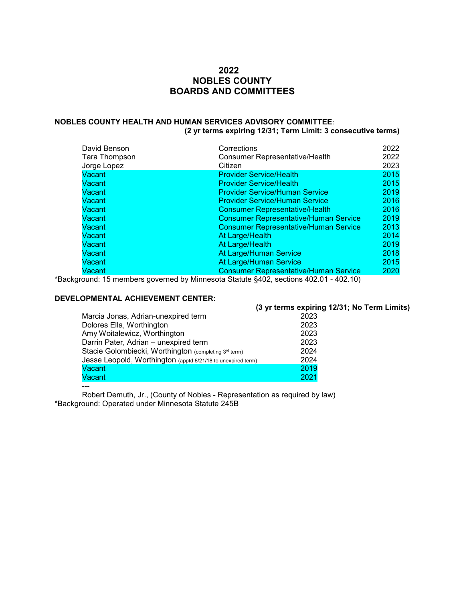# **2022 NOBLES COUNTY BOARDS AND COMMITTEES**

# **NOBLES COUNTY HEALTH AND HUMAN SERVICES ADVISORY COMMITTEE:**

**(2 yr terms expiring 12/31; Term Limit: 3 consecutive terms)**

| David Benson  | Corrections                                  | 2022 |
|---------------|----------------------------------------------|------|
| Tara Thompson | Consumer Representative/Health               | 2022 |
| Jorge Lopez   | Citizen                                      | 2023 |
| Vacant        | <b>Provider Service/Health</b>               | 2015 |
| Vacant        | <b>Provider Service/Health</b>               | 2015 |
| Vacant        | <b>Provider Service/Human Service</b>        | 2019 |
| Vacant        | <b>Provider Service/Human Service</b>        | 2016 |
| Vacant        | <b>Consumer Representative/Health</b>        | 2016 |
| Vacant        | <b>Consumer Representative/Human Service</b> | 2019 |
| Vacant        | <b>Consumer Representative/Human Service</b> | 2013 |
| Vacant        | At Large/Health                              | 2014 |
| Vacant        | At Large/Health                              | 2019 |
| Vacant        | At Large/Human Service                       | 2018 |
| Vacant        | At Large/Human Service                       | 2015 |
| Vacant        | <b>Consumer Representative/Human Service</b> | 2020 |

\*Background: 15 members governed by Minnesota Statute §402, sections 402.01 - 402.10)

# **DEVELOPMENTAL ACHIEVEMENT CENTER:**

|                                                              | (3 yr terms expiring 12/31; No Term Limits) |
|--------------------------------------------------------------|---------------------------------------------|
| Marcia Jonas, Adrian-unexpired term                          | 2023                                        |
| Dolores Ella, Worthington                                    | 2023                                        |
| Amy Woitalewicz, Worthington                                 | 2023                                        |
| Darrin Pater, Adrian - unexpired term                        | 2023                                        |
| Stacie Golombiecki, Worthington (completing 3rd term)        | 2024                                        |
| Jesse Leopold, Worthington (apptd 8/21/18 to unexpired term) | 2024                                        |
| Vacant                                                       | 2019                                        |
| Vacant                                                       | 2021                                        |

---

Robert Demuth, Jr., (County of Nobles - Representation as required by law) \*Background: Operated under Minnesota Statute 245B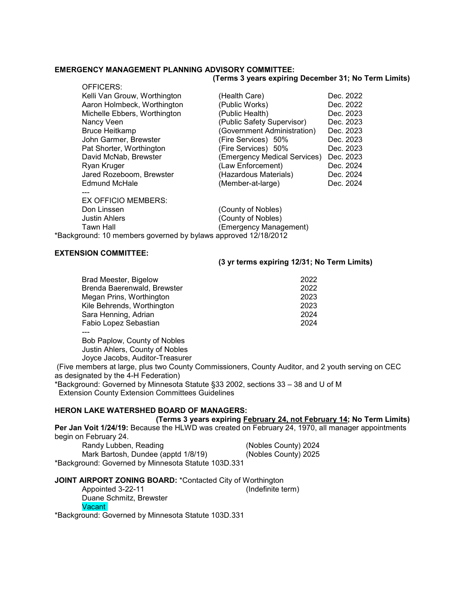## **EMERGENCY MANAGEMENT PLANNING ADVISORY COMMITTEE:**

#### **(Terms 3 years expiring December 31; No Term Limits)**

| OFFICERS:                    |                                                                |           |
|------------------------------|----------------------------------------------------------------|-----------|
| Kelli Van Grouw, Worthington | (Health Care)                                                  | Dec. 2022 |
| Aaron Holmbeck, Worthington  | (Public Works)                                                 | Dec. 2022 |
| Michelle Ebbers, Worthington | (Public Health)                                                | Dec. 2023 |
| Nancy Veen                   | (Public Safety Supervisor)                                     | Dec. 2023 |
| <b>Bruce Heitkamp</b>        | (Government Administration)                                    | Dec. 2023 |
| John Garmer, Brewster        | (Fire Services) 50%                                            | Dec. 2023 |
| Pat Shorter, Worthington     | (Fire Services) 50%                                            | Dec. 2023 |
| David McNab, Brewster        | (Emergency Medical Services)                                   | Dec. 2023 |
| Ryan Kruger                  | (Law Enforcement)                                              | Dec. 2024 |
| Jared Rozeboom, Brewster     | (Hazardous Materials)                                          | Dec. 2024 |
| <b>Edmund McHale</b>         | (Member-at-large)                                              | Dec. 2024 |
|                              |                                                                |           |
| <b>EX OFFICIO MEMBERS:</b>   |                                                                |           |
| Don Linssen                  | (County of Nobles)                                             |           |
| <b>Justin Ahlers</b>         | (County of Nobles)                                             |           |
| <b>Tawn Hall</b>             | (Emergency Management)                                         |           |
|                              | *Background: 10 members governed by bylaws approved 12/18/2012 |           |
|                              |                                                                |           |

#### **EXTENSION COMMITTEE:**

#### **(3 yr terms expiring 12/31; No Term Limits)**

| Brad Meester, Bigelow       | 2022 |
|-----------------------------|------|
| Brenda Baerenwald, Brewster | 2022 |
| Megan Prins, Worthington    | 2023 |
| Kile Behrends, Worthington  | 2023 |
| Sara Henning, Adrian        | 2024 |
| Fabio Lopez Sebastian       | 2024 |
|                             |      |

Bob Paplow, County of Nobles Justin Ahlers, County of Nobles Joyce Jacobs, Auditor-Treasurer

 (Five members at large, plus two County Commissioners, County Auditor, and 2 youth serving on CEC as designated by the 4-H Federation)

\*Background: Governed by Minnesota Statute §33 2002, sections 33 – 38 and U of M Extension County Extension Committees Guidelines

# **HERON LAKE WATERSHED BOARD OF MANAGERS:**

 **(Terms 3 years expiring February 24, not February 14; No Term Limits) Per Jan Voit 1/24/19:** Because the HLWD was created on February 24, 1970, all manager appointments begin on February 24. Randy Lubben, Reading (Nobles County) 2024<br>Mark Bartosh, Dundee (apptd 1/8/19) (Nobles County) 2025 Mark Bartosh, Dundee (apptd 1/8/19)

\*Background: Governed by Minnesota Statute 103D.331

# **JOINT AIRPORT ZONING BOARD:** \*Contacted City of Worthington<br>Appointed 3-22-11 (Indefinite term)

Appointed 3-22-11 Duane Schmitz, Brewster **Vacant** 

\*Background: Governed by Minnesota Statute 103D.331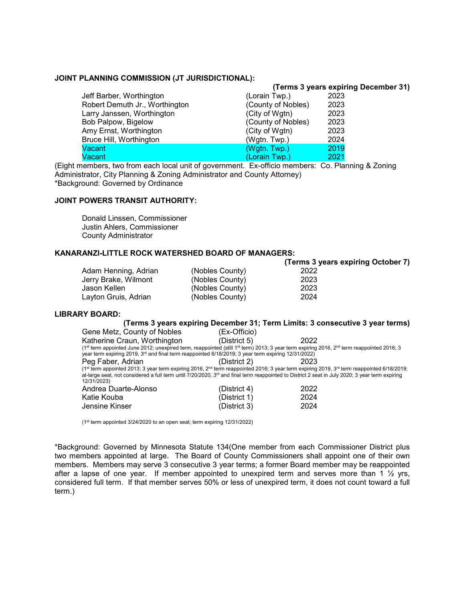#### **JOINT PLANNING COMMISSION (JT JURISDICTIONAL):**

#### **(Terms 3 years expiring December 31)** Jeff Barber, Worthington (Lorain Twp.)<br>
Robert Demuth Jr., Worthington (County of Nobles) Robert Demuth Jr., Worthington (County of Nobles) 2023<br>Larry Janssen, Worthington (City of Wgtn) 2023 Larry Janssen, Worthington Bob Palpow, Bigelow (County of Nobles) 2023 Amy Ernst, Worthington (City of Wgtn) 2023<br>Bruce Hill, Worthington (Wgtn. Twp.) 2024 Bruce Hill, Worthington Vacant (Wgtn. Twp.) 2019 Vacant (Lorain Twp.) 2021

(Eight members, two from each local unit of government. Ex-officio members: Co. Planning & Zoning Administrator, City Planning & Zoning Administrator and County Attorney) \*Background: Governed by Ordinance

# **JOINT POWERS TRANSIT AUTHORITY:**

Donald Linssen, Commissioner Justin Ahlers, Commissioner County Administrator

## **KANARANZI-LITTLE ROCK WATERSHED BOARD OF MANAGERS:**

|                      |                 | (Terms 3 years expiring October 7) |
|----------------------|-----------------|------------------------------------|
| Adam Henning, Adrian | (Nobles County) | 2022                               |
| Jerry Brake, Wilmont | (Nobles County) | 2023                               |
| Jason Kellen         | (Nobles County) | 2023                               |
| Layton Gruis, Adrian | (Nobles County) | 2024                               |

# **LIBRARY BOARD:**

|                                                                                                                                                                                |              | (Terms 3 years expiring December 31; Term Limits: 3 consecutive 3 year terms) |
|--------------------------------------------------------------------------------------------------------------------------------------------------------------------------------|--------------|-------------------------------------------------------------------------------|
| Gene Metz, County of Nobles                                                                                                                                                    | (Ex-Officio) |                                                                               |
| Katherine Craun, Worthington                                                                                                                                                   | (District 5) | 2022                                                                          |
| (1st term appointed June 2012; unexpired term, reappointed (still 1st term) 2013; 3 year term expiring 2016, 2 <sup>nd</sup> term reappointed 2016; 3                          |              |                                                                               |
| year term expiring 2019, $3rd$ and final term reappointed 6/18/2019; 3 year term expiring 12/31/2022)                                                                          |              |                                                                               |
| Peg Faber, Adrian                                                                                                                                                              | (District 2) | 2023                                                                          |
| (1 <sup>st</sup> term appointed 2013; 3 year term expiring 2016, 2 <sup>nd</sup> term reappointed 2016; 3 year term expiring 2019, 3 <sup>rd</sup> term reappointed 6/18/2019; |              |                                                                               |
| at-large seat, not considered a full term until 7/20/2020, $3rd$ and final term reappointed to District 2 seat in July 2020; 3 year term expiring<br>12/31/2023)               |              |                                                                               |
| Andrea Duarte-Alonso                                                                                                                                                           | (District 4) | 2022                                                                          |
| Katie Kouba                                                                                                                                                                    | (District 1) | 2024                                                                          |
| Jensine Kinser                                                                                                                                                                 | (District 3) | 2024                                                                          |

(1st term appointed 3/24/2020 to an open seat; term expiring 12/31/2022)

\*Background: Governed by Minnesota Statute 134(One member from each Commissioner District plus two members appointed at large. The Board of County Commissioners shall appoint one of their own members. Members may serve 3 consecutive 3 year terms; a former Board member may be reappointed after a lapse of one year. If member appointed to unexpired term and serves more than 1  $\frac{1}{2}$  yrs, considered full term. If that member serves 50% or less of unexpired term, it does not count toward a full term.)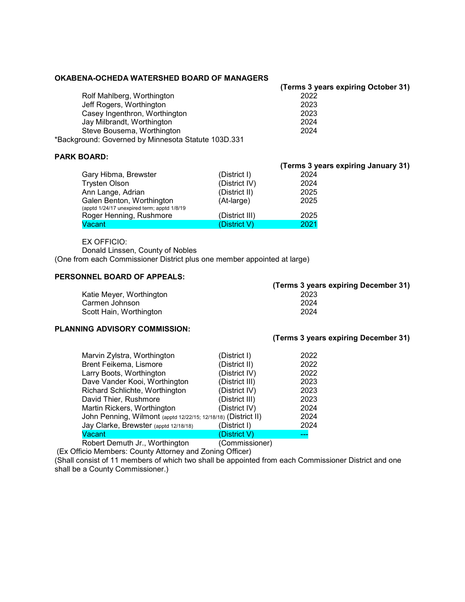#### **OKABENA-OCHEDA WATERSHED BOARD OF MANAGERS**

**(Terms 3 years expiring October 31)**

**(Terms 3 years expiring December 31)**

| Rolf Mahlberg, Worthington                          | 2022 |
|-----------------------------------------------------|------|
| Jeff Rogers, Worthington                            | 2023 |
| Casey Ingenthron, Worthington                       | 2023 |
| Jay Milbrandt, Worthington                          | 2024 |
| Steve Bousema, Worthington                          | 2024 |
| *Background: Governed by Minnesota Statute 103D.331 |      |

# **PARK BOARD:**

|                                                                          |                | (Terms 3 years expiring January 31) |
|--------------------------------------------------------------------------|----------------|-------------------------------------|
| Gary Hibma, Brewster                                                     | (District I)   | 2024                                |
| <b>Trysten Olson</b>                                                     | (District IV)  | 2024                                |
| Ann Lange, Adrian                                                        | (District II)  | 2025                                |
| Galen Benton, Worthington<br>(apptd 1/24/17 unexpired term; apptd 1/8/19 | (At-large)     | 2025                                |
| Roger Henning, Rushmore                                                  | (District III) | 2025                                |
| Vacant                                                                   | (District V)   | 2021                                |

#### EX OFFICIO:

Donald Linssen, County of Nobles

(One from each Commissioner District plus one member appointed at large)

# **PERSONNEL BOARD OF APPEALS:**

| (Terms 3 years expiring December 31) |
|--------------------------------------|
| 2023                                 |
| 2024                                 |
| 2024                                 |
|                                      |

## **PLANNING ADVISORY COMMISSION:**

| Marvin Zylstra, Worthington                                    | (District I)   | 2022 |
|----------------------------------------------------------------|----------------|------|
| Brent Feikema, Lismore                                         | (District II)  | 2022 |
| Larry Boots, Worthington                                       | (District IV)  | 2022 |
| Dave Vander Kooi, Worthington                                  | (District III) | 2023 |
| Richard Schlichte, Worthington                                 | (District IV)  | 2023 |
| David Thier, Rushmore                                          | (District III) | 2023 |
| Martin Rickers, Worthington                                    | (District IV)  | 2024 |
| John Penning, Wilmont (apptd 12/22/15; 12/18/18) (District II) |                | 2024 |
| Jay Clarke, Brewster (apptd 12/18/18)                          | (District I)   | 2024 |
| Vacant                                                         | (District V)   | ---  |
| Robert Demuth Jr., Worthington                                 | (Commissioner) |      |

(Ex Officio Members: County Attorney and Zoning Officer)

(Shall consist of 11 members of which two shall be appointed from each Commissioner District and one shall be a County Commissioner.)